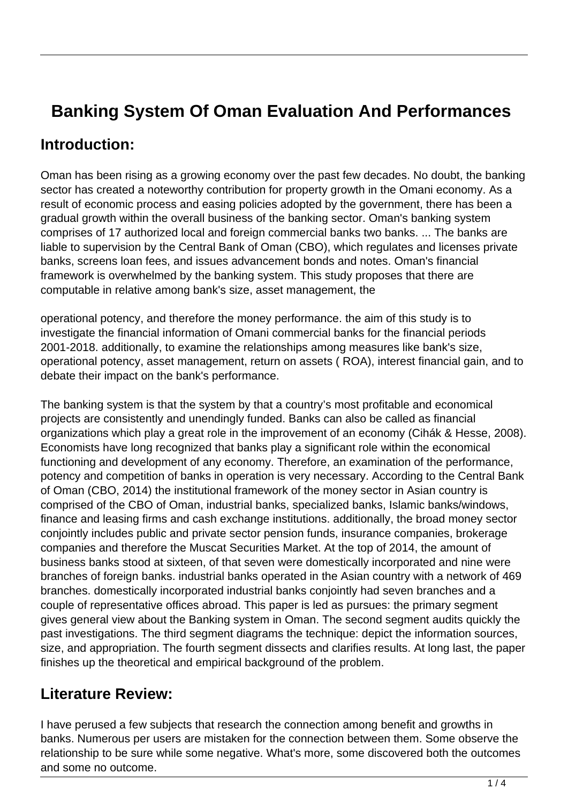# **Banking System Of Oman Evaluation And Performances**

# **Introduction:**

Oman has been rising as a growing economy over the past few decades. No doubt, the banking sector has created a noteworthy contribution for property growth in the Omani economy. As a result of economic process and easing policies adopted by the government, there has been a gradual growth within the overall business of the banking sector. Oman's banking system comprises of 17 authorized local and foreign commercial banks two banks. ... The banks are liable to supervision by the Central Bank of Oman (CBO), which regulates and licenses private banks, screens loan fees, and issues advancement bonds and notes. Oman's financial framework is overwhelmed by the banking system. This study proposes that there are computable in relative among bank's size, asset management, the

operational potency, and therefore the money performance. the aim of this study is to investigate the financial information of Omani commercial banks for the financial periods 2001-2018. additionally, to examine the relationships among measures like bank's size, operational potency, asset management, return on assets ( ROA), interest financial gain, and to debate their impact on the bank's performance.

The banking system is that the system by that a country's most profitable and economical projects are consistently and unendingly funded. Banks can also be called as financial organizations which play a great role in the improvement of an economy (Cihák & Hesse, 2008). Economists have long recognized that banks play a significant role within the economical functioning and development of any economy. Therefore, an examination of the performance, potency and competition of banks in operation is very necessary. According to the Central Bank of Oman (CBO, 2014) the institutional framework of the money sector in Asian country is comprised of the CBO of Oman, industrial banks, specialized banks, Islamic banks/windows, finance and leasing firms and cash exchange institutions. additionally, the broad money sector conjointly includes public and private sector pension funds, insurance companies, brokerage companies and therefore the Muscat Securities Market. At the top of 2014, the amount of business banks stood at sixteen, of that seven were domestically incorporated and nine were branches of foreign banks. industrial banks operated in the Asian country with a network of 469 branches. domestically incorporated industrial banks conjointly had seven branches and a couple of representative offices abroad. This paper is led as pursues: the primary segment gives general view about the Banking system in Oman. The second segment audits quickly the past investigations. The third segment diagrams the technique: depict the information sources, size, and appropriation. The fourth segment dissects and clarifies results. At long last, the paper finishes up the theoretical and empirical background of the problem.

# **Literature Review:**

I have perused a few subjects that research the connection among benefit and growths in banks. Numerous per users are mistaken for the connection between them. Some observe the relationship to be sure while some negative. What's more, some discovered both the outcomes and some no outcome.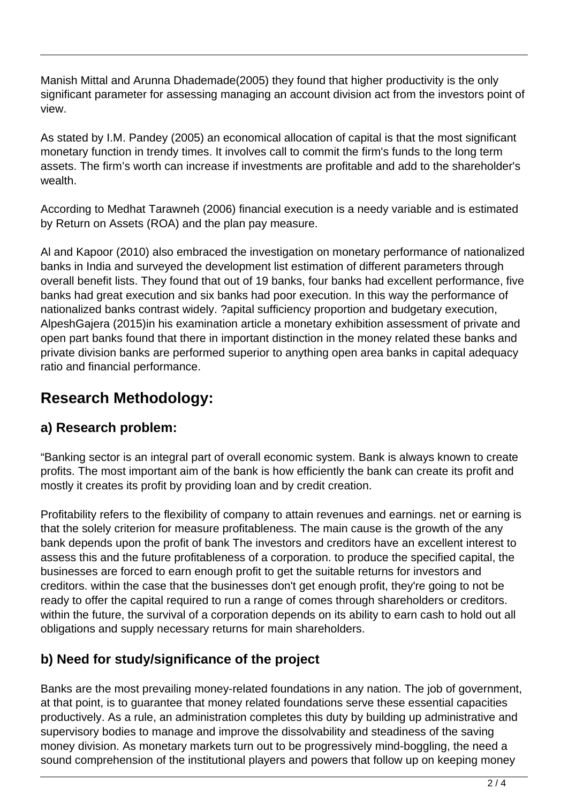Manish Mittal and Arunna Dhademade(2005) they found that higher productivity is the only significant parameter for assessing managing an account division act from the investors point of view.

As stated by I.M. Pandey (2005) an economical allocation of capital is that the most significant monetary function in trendy times. It involves call to commit the firm's funds to the long term assets. The firm's worth can increase if investments are profitable and add to the shareholder's wealth.

According to Medhat Tarawneh (2006) financial execution is a needy variable and is estimated by Return on Assets (ROA) and the plan pay measure.

Al and Kapoor (2010) also embraced the investigation on monetary performance of nationalized banks in India and surveyed the development list estimation of different parameters through overall benefit lists. They found that out of 19 banks, four banks had excellent performance, five banks had great execution and six banks had poor execution. In this way the performance of nationalized banks contrast widely. ?apital sufficiency proportion and budgetary execution, AlpeshGajera (2015)in his examination article a monetary exhibition assessment of private and open part banks found that there in important distinction in the money related these banks and private division banks are performed superior to anything open area banks in capital adequacy ratio and financial performance.

# **Research Methodology:**

## **a) Research problem:**

"Banking sector is an integral part of overall economic system. Bank is always known to create profits. The most important aim of the bank is how efficiently the bank can create its profit and mostly it creates its profit by providing loan and by credit creation.

Profitability refers to the flexibility of company to attain revenues and earnings. net or earning is that the solely criterion for measure profitableness. The main cause is the growth of the any bank depends upon the profit of bank The investors and creditors have an excellent interest to assess this and the future profitableness of a corporation. to produce the specified capital, the businesses are forced to earn enough profit to get the suitable returns for investors and creditors. within the case that the businesses don't get enough profit, they're going to not be ready to offer the capital required to run a range of comes through shareholders or creditors. within the future, the survival of a corporation depends on its ability to earn cash to hold out all obligations and supply necessary returns for main shareholders.

## **b) Need for study/significance of the project**

Banks are the most prevailing money-related foundations in any nation. The job of government, at that point, is to guarantee that money related foundations serve these essential capacities productively. As a rule, an administration completes this duty by building up administrative and supervisory bodies to manage and improve the dissolvability and steadiness of the saving money division. As monetary markets turn out to be progressively mind-boggling, the need a sound comprehension of the institutional players and powers that follow up on keeping money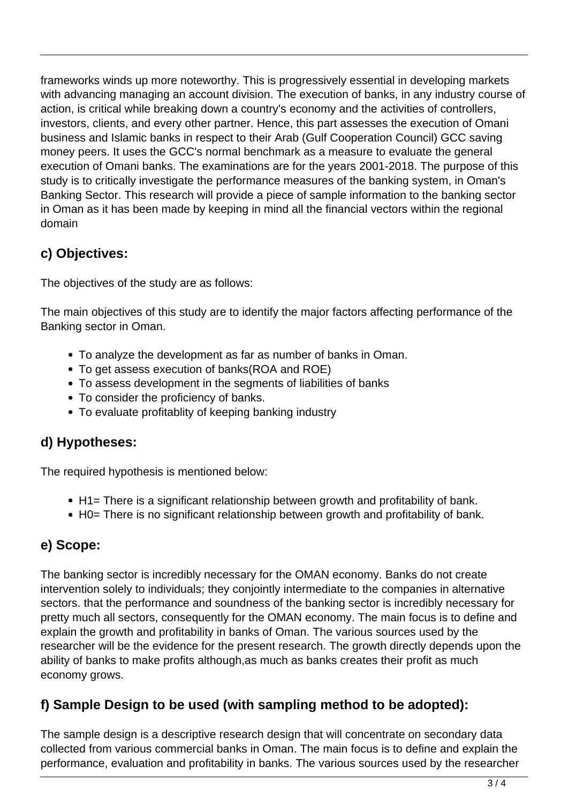frameworks winds up more noteworthy. This is progressively essential in developing markets with advancing managing an account division. The execution of banks, in any industry course of action, is critical while breaking down a country's economy and the activities of controllers, investors, clients, and every other partner. Hence, this part assesses the execution of Omani business and Islamic banks in respect to their Arab (Gulf Cooperation Council) GCC saving money peers. It uses the GCC's normal benchmark as a measure to evaluate the general execution of Omani banks. The examinations are for the years 2001-2018. The purpose of this study is to critically investigate the performance measures of the banking system, in Oman's Banking Sector. This research will provide a piece of sample information to the banking sector in Oman as it has been made by keeping in mind all the financial vectors within the regional domain

# **c) Objectives:**

The objectives of the study are as follows:

The main objectives of this study are to identify the major factors affecting performance of the Banking sector in Oman.

- To analyze the development as far as number of banks in Oman.
- To get assess execution of banks(ROA and ROE)
- To assess development in the segments of liabilities of banks
- To consider the proficiency of banks.
- To evaluate profitablity of keeping banking industry

#### **d) Hypotheses:**

The required hypothesis is mentioned below:

- H1= There is a significant relationship between growth and profitability of bank.
- H0= There is no significant relationship between growth and profitability of bank.

## **e) Scope:**

The banking sector is incredibly necessary for the OMAN economy. Banks do not create intervention solely to individuals; they conjointly intermediate to the companies in alternative sectors. that the performance and soundness of the banking sector is incredibly necessary for pretty much all sectors, consequently for the OMAN economy. The main focus is to define and explain the growth and profitability in banks of Oman. The various sources used by the researcher will be the evidence for the present research. The growth directly depends upon the ability of banks to make profits although,as much as banks creates their profit as much economy grows.

#### **f) Sample Design to be used (with sampling method to be adopted):**

The sample design is a descriptive research design that will concentrate on secondary data collected from various commercial banks in Oman. The main focus is to define and explain the performance, evaluation and profitability in banks. The various sources used by the researcher